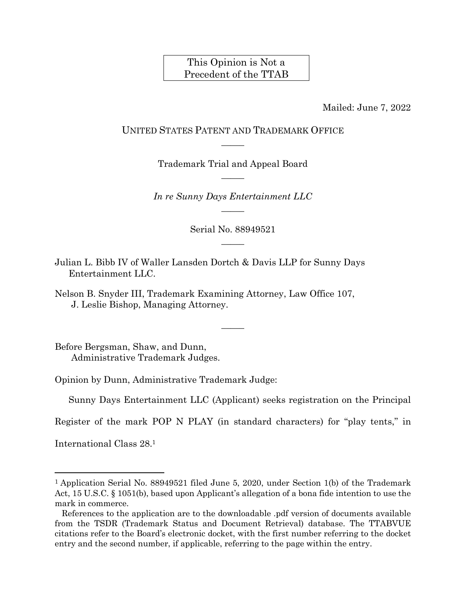This Opinion is Not a Precedent of the TTAB

Mailed: June 7, 2022

## UNITED STATES PATENT AND TRADEMARK OFFICE  $\overline{\phantom{a}}$

Trademark Trial and Appeal Board  $\overline{\phantom{a}}$ 

*In re Sunny Days Entertainment LLC*  $\overline{\phantom{a}}$ 

> Serial No. 88949521  $\mathcal{L}$

> > $\overline{\phantom{a}}$

Julian L. Bibb IV of Waller Lansden Dortch & Davis LLP for Sunny Days Entertainment LLC.

Nelson B. Snyder III, Trademark Examining Attorney, Law Office 107, J. Leslie Bishop, Managing Attorney.

Before Bergsman, Shaw, and Dunn, Administrative Trademark Judges.

Opinion by Dunn, Administrative Trademark Judge:

Sunny Days Entertainment LLC (Applicant) seeks registration on the Principal

Register of the mark POP N PLAY (in standard characters) for "play tents," in

International Class 28. 1

<sup>1</sup> Application Serial No. 88949521 filed June 5, 2020, under Section 1(b) of the Trademark Act, 15 U.S.C. § 1051(b), based upon Applicant's allegation of a bona fide intention to use the mark in commerce.

References to the application are to the downloadable .pdf version of documents available from the TSDR (Trademark Status and Document Retrieval) database. The TTABVUE citations refer to the Board's electronic docket, with the first number referring to the docket entry and the second number, if applicable, referring to the page within the entry.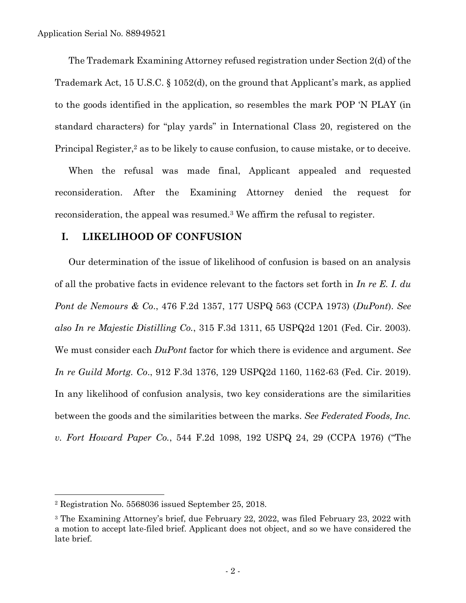The Trademark Examining Attorney refused registration under Section 2(d) of the Trademark Act, 15 U.S.C. § 1052(d), on the ground that Applicant's mark, as applied to the goods identified in the application, so resembles the mark POP 'N PLAY (in standard characters) for "play yards" in International Class 20, registered on the Principal Register, <sup>2</sup> as to be likely to cause confusion, to cause mistake, or to deceive.

When the refusal was made final, Applicant appealed and requested reconsideration. After the Examining Attorney denied the request for reconsideration, the appeal was resumed.<sup>3</sup> We affirm the refusal to register.

#### **I. LIKELIHOOD OF CONFUSION**

Our determination of the issue of likelihood of confusion is based on an analysis of all the probative facts in evidence relevant to the factors set forth in *In re E. I. du Pont de Nemours & Co*., 476 F.2d 1357, 177 USPQ 563 (CCPA 1973) (*DuPont*). *See also In re Majestic Distilling Co.*, 315 F.3d 1311, 65 USPQ2d 1201 (Fed. Cir. 2003). We must consider each *DuPont* factor for which there is evidence and argument. *See In re Guild Mortg. Co*., 912 F.3d 1376, 129 USPQ2d 1160, 1162-63 (Fed. Cir. 2019). In any likelihood of confusion analysis, two key considerations are the similarities between the goods and the similarities between the marks. *See Federated Foods, Inc. v. Fort Howard Paper Co.*, 544 F.2d 1098, 192 USPQ 24, 29 (CCPA 1976) ("The

<sup>2</sup> Registration No. 5568036 issued September 25, 2018.

<sup>3</sup> The Examining Attorney's brief, due February 22, 2022, was filed February 23, 2022 with a motion to accept late-filed brief. Applicant does not object, and so we have considered the late brief.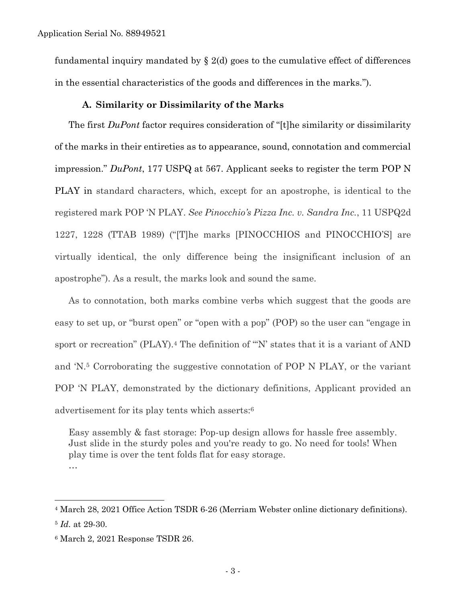fundamental inquiry mandated by  $\S 2(d)$  goes to the cumulative effect of differences in the essential characteristics of the goods and differences in the marks.").

### **A. Similarity or Dissimilarity of the Marks**

The first *DuPont* factor requires consideration of "[t]he similarity or dissimilarity of the marks in their entireties as to appearance, sound, connotation and commercial impression." *DuPont*, 177 USPQ at 567. Applicant seeks to register the term POP N PLAY in standard characters, which, except for an apostrophe, is identical to the registered mark POP 'N PLAY. *See Pinocchio's Pizza Inc. v. Sandra Inc.*, 11 USPQ2d 1227, 1228 (TTAB 1989) ("[T]he marks [PINOCCHIOS and PINOCCHIO'S] are virtually identical, the only difference being the insignificant inclusion of an apostrophe"). As a result, the marks look and sound the same.

As to connotation, both marks combine verbs which suggest that the goods are easy to set up, or "burst open" or "open with a pop" (POP) so the user can "engage in sport or recreation" (PLAY).<sup>4</sup> The definition of "'N' states that it is a variant of AND and 'N.<sup>5</sup> Corroborating the suggestive connotation of POP N PLAY, or the variant POP 'N PLAY, demonstrated by the dictionary definitions, Applicant provided an advertisement for its play tents which asserts: 6

Easy assembly & fast storage: Pop-up design allows for hassle free assembly. Just slide in the sturdy poles and you're ready to go. No need for tools! When play time is over the tent folds flat for easy storage. …

<sup>4</sup> March 28, 2021 Office Action TSDR 6-26 (Merriam Webster online dictionary definitions). <sup>5</sup> *Id.* at 29-30.

<sup>6</sup> March 2, 2021 Response TSDR 26.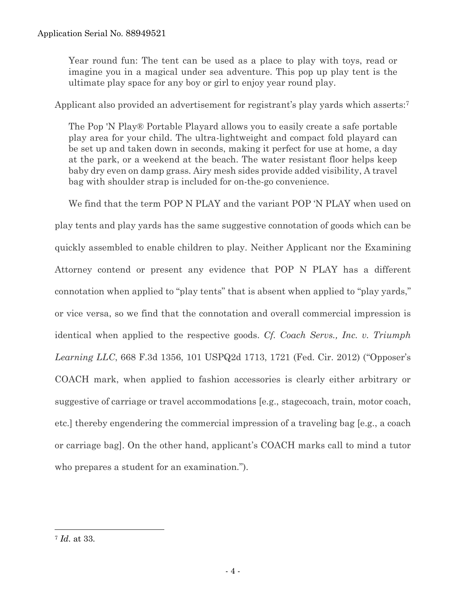Year round fun: The tent can be used as a place to play with toys, read or imagine you in a magical under sea adventure. This pop up play tent is the ultimate play space for any boy or girl to enjoy year round play.

Applicant also provided an advertisement for registrant's play yards which asserts:<sup>7</sup>

The Pop 'N Play® Portable Playard allows you to easily create a safe portable play area for your child. The ultra-lightweight and compact fold playard can be set up and taken down in seconds, making it perfect for use at home, a day at the park, or a weekend at the beach. The water resistant floor helps keep baby dry even on damp grass. Airy mesh sides provide added visibility, A travel bag with shoulder strap is included for on-the-go convenience.

We find that the term POP N PLAY and the variant POP 'N PLAY when used on play tents and play yards has the same suggestive connotation of goods which can be quickly assembled to enable children to play. Neither Applicant nor the Examining Attorney contend or present any evidence that POP N PLAY has a different connotation when applied to "play tents" that is absent when applied to "play yards," or vice versa, so we find that the connotation and overall commercial impression is identical when applied to the respective goods. *Cf. Coach Servs., Inc. v. Triumph Learning LLC*, 668 F.3d 1356, 101 USPQ2d 1713, 1721 (Fed. Cir. 2012) ("Opposer's COACH mark, when applied to fashion accessories is clearly either arbitrary or suggestive of carriage or travel accommodations [e.g., stagecoach, train, motor coach, etc.] thereby engendering the commercial impression of a traveling bag [e.g., a coach or carriage bag]. On the other hand, applicant's COACH marks call to mind a tutor who prepares a student for an examination.").

<sup>7</sup> *Id.* at 33.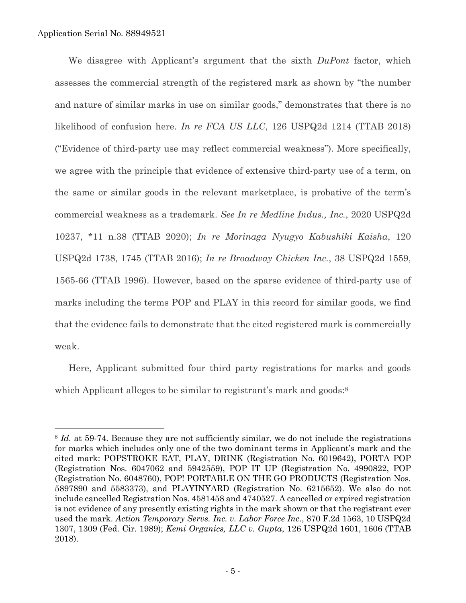l

We disagree with Applicant's argument that the sixth *DuPont* factor, which assesses the commercial strength of the registered mark as shown by "the number and nature of similar marks in use on similar goods," demonstrates that there is no likelihood of confusion here. *In re FCA US LLC*, 126 USPQ2d 1214 (TTAB 2018) ("Evidence of third-party use may reflect commercial weakness"). More specifically, we agree with the principle that evidence of extensive third-party use of a term, on the same or similar goods in the relevant marketplace, is probative of the term's commercial weakness as a trademark. *See In re Medline Indus., Inc.*, 2020 USPQ2d 10237, \*11 n.38 (TTAB 2020); *In re Morinaga Nyugyo Kabushiki Kaisha*, 120 USPQ2d 1738, 1745 (TTAB 2016); *In re Broadway Chicken Inc.*, 38 USPQ2d 1559, 1565-66 (TTAB 1996). However, based on the sparse evidence of third-party use of marks including the terms POP and PLAY in this record for similar goods, we find that the evidence fails to demonstrate that the cited registered mark is commercially weak.

Here, Applicant submitted four third party registrations for marks and goods which Applicant alleges to be similar to registrant's mark and goods:<sup>8</sup>

<sup>&</sup>lt;sup>8</sup> *Id.* at 59-74. Because they are not sufficiently similar, we do not include the registrations for marks which includes only one of the two dominant terms in Applicant's mark and the cited mark: POPSTROKE EAT, PLAY, DRINK (Registration No. 6019642), PORTA POP (Registration Nos. 6047062 and 5942559), POP IT UP (Registration No. 4990822, POP (Registration No. 6048760), POP! PORTABLE ON THE GO PRODUCTS (Registration Nos. 5897890 and 5583373), and PLAYINYARD (Registration No. 6215652). We also do not include cancelled Registration Nos. 4581458 and 4740527. A cancelled or expired registration is not evidence of any presently existing rights in the mark shown or that the registrant ever used the mark. *Action Temporary Servs. Inc. v. Labor Force Inc.*, 870 F.2d 1563, 10 USPQ2d 1307, 1309 (Fed. Cir. 1989); *Kemi Organics, LLC v. Gupta*, 126 USPQ2d 1601, 1606 (TTAB 2018).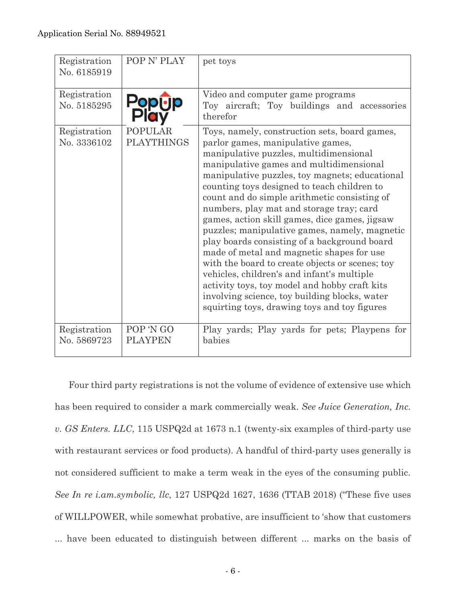| Registration<br>No. 6185919 | POP N' PLAY                         | pet toys                                                                                                                                                                                                                                                                                                                                                                                                                                                                                                                                                                                                                                                                                                                                                                                                               |
|-----------------------------|-------------------------------------|------------------------------------------------------------------------------------------------------------------------------------------------------------------------------------------------------------------------------------------------------------------------------------------------------------------------------------------------------------------------------------------------------------------------------------------------------------------------------------------------------------------------------------------------------------------------------------------------------------------------------------------------------------------------------------------------------------------------------------------------------------------------------------------------------------------------|
| Registration<br>No. 5185295 |                                     | Video and computer game programs<br>Toy aircraft; Toy buildings and accessories<br>therefor                                                                                                                                                                                                                                                                                                                                                                                                                                                                                                                                                                                                                                                                                                                            |
| Registration<br>No. 3336102 | <b>POPULAR</b><br><b>PLAYTHINGS</b> | Toys, namely, construction sets, board games,<br>parlor games, manipulative games,<br>manipulative puzzles, multidimensional<br>manipulative games and multidimensional<br>manipulative puzzles, toy magnets; educational<br>counting toys designed to teach children to<br>count and do simple arithmetic consisting of<br>numbers, play mat and storage tray; card<br>games, action skill games, dice games, jigsaw<br>puzzles; manipulative games, namely, magnetic<br>play boards consisting of a background board<br>made of metal and magnetic shapes for use<br>with the board to create objects or scenes; toy<br>vehicles, children's and infant's multiple<br>activity toys, toy model and hobby craft kits<br>involving science, toy building blocks, water<br>squirting toys, drawing toys and toy figures |
| Registration<br>No. 5869723 | POP 'N GO<br><b>PLAYPEN</b>         | Play yards; Play yards for pets; Playpens for<br>babies                                                                                                                                                                                                                                                                                                                                                                                                                                                                                                                                                                                                                                                                                                                                                                |

Four third party registrations is not the volume of evidence of extensive use which has been required to consider a mark commercially weak. *See Juice Generation, Inc. v. GS Enters. LLC*, 115 USPQ2d at 1673 n.1 (twenty-six examples of third-party use with restaurant services or food products). A handful of third-party uses generally is not considered sufficient to make a term weak in the eyes of the consuming public. *See In re i.am.symbolic, llc*, 127 USPQ2d 1627, 1636 (TTAB 2018) ("These five uses of WILLPOWER, while somewhat probative, are insufficient to 'show that customers ... have been educated to distinguish between different ... marks on the basis of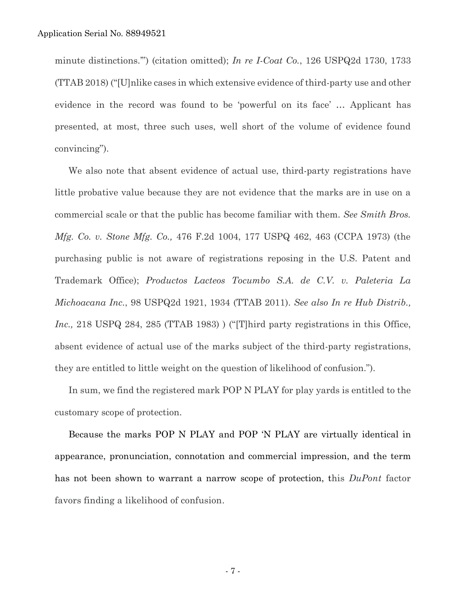minute distinctions.'") (citation omitted); *In re I-Coat Co.*, 126 USPQ2d 1730, 1733 (TTAB 2018) ("[U]nlike cases in which extensive evidence of third-party use and other evidence in the record was found to be 'powerful on its face' … Applicant has presented, at most, three such uses, well short of the volume of evidence found convincing").

We also note that absent evidence of actual use, third-party registrations have little probative value because they are not evidence that the marks are in use on a commercial scale or that the public has become familiar with them. *See Smith Bros. Mfg. Co. v. Stone Mfg. Co.,* 476 F.2d 1004, 177 USPQ 462, 463 (CCPA 1973) (the purchasing public is not aware of registrations reposing in the U.S. Patent and Trademark Office); *Productos Lacteos Tocumbo S.A. de C.V. v. Paleteria La Michoacana Inc.*, 98 USPQ2d 1921, 1934 (TTAB 2011). *See also In re Hub Distrib., Inc.*, 218 USPQ 284, 285 (TTAB 1983) ) ("[T]hird party registrations in this Office, absent evidence of actual use of the marks subject of the third-party registrations, they are entitled to little weight on the question of likelihood of confusion.").

In sum, we find the registered mark POP N PLAY for play yards is entitled to the customary scope of protection.

Because the marks POP N PLAY and POP 'N PLAY are virtually identical in appearance, pronunciation, connotation and commercial impression, and the term has not been shown to warrant a narrow scope of protection, this *DuPont* factor favors finding a likelihood of confusion.

- 7 -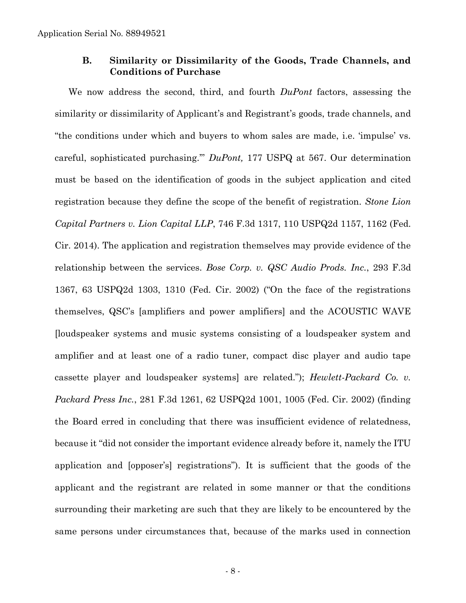### **B. Similarity or Dissimilarity of the Goods, Trade Channels, and Conditions of Purchase**

We now address the second, third, and fourth *DuPont* factors, assessing the similarity or dissimilarity of Applicant's and Registrant's goods, trade channels, and "the conditions under which and buyers to whom sales are made, i.e. 'impulse' vs. careful, sophisticated purchasing.'" *DuPont,* 177 USPQ at 567. Our determination must be based on the identification of goods in the subject application and cited registration because they define the scope of the benefit of registration. *Stone Lion Capital Partners v. Lion Capital LLP*, 746 F.3d 1317, 110 USPQ2d 1157, 1162 (Fed. Cir. 2014). The application and registration themselves may provide evidence of the relationship between the services. *Bose Corp. v. QSC Audio Prods. Inc.*, 293 F.3d 1367, 63 USPQ2d 1303, 1310 (Fed. Cir. 2002) ("On the face of the registrations themselves, QSC's [amplifiers and power amplifiers] and the ACOUSTIC WAVE [loudspeaker systems and music systems consisting of a loudspeaker system and amplifier and at least one of a radio tuner, compact disc player and audio tape cassette player and loudspeaker systems] are related."); *Hewlett-Packard Co. v. Packard Press Inc.*, 281 F.3d 1261, 62 USPQ2d 1001, 1005 (Fed. Cir. 2002) (finding the Board erred in concluding that there was insufficient evidence of relatedness, because it "did not consider the important evidence already before it, namely the ITU application and [opposer's] registrations"). It is sufficient that the goods of the applicant and the registrant are related in some manner or that the conditions surrounding their marketing are such that they are likely to be encountered by the same persons under circumstances that, because of the marks used in connection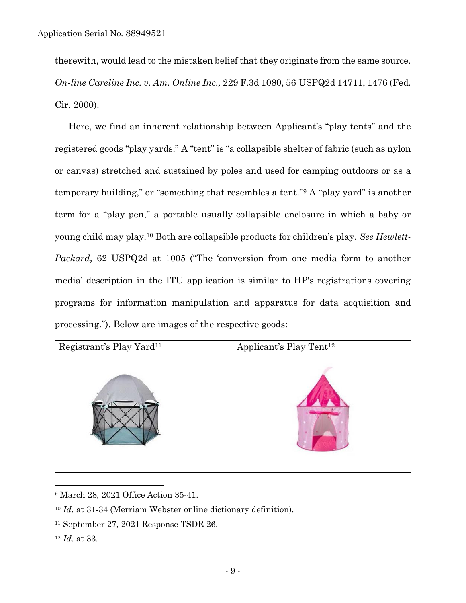therewith, would lead to the mistaken belief that they originate from the same source. *On-line Careline Inc. v. Am. Online Inc.,* 229 F.3d 1080, 56 USPQ2d 14711, 1476 (Fed. Cir. 2000).

Here, we find an inherent relationship between Applicant's "play tents" and the registered goods "play yards." A "tent" is "a collapsible shelter of fabric (such as nylon or canvas) stretched and sustained by poles and used for camping outdoors or as a temporary building," or "something that resembles a tent."<sup>9</sup> A "play yard" is another term for a "play pen," a portable usually collapsible enclosure in which a baby or young child may play.<sup>10</sup> Both are collapsible products for children's play. *See Hewlett-Packard,* 62 USPQ2d at 1005 ("The 'conversion from one media form to another media' description in the ITU application is similar to HP's registrations covering programs for information manipulation and apparatus for data acquisition and processing."). Below are images of the respective goods:



<sup>9</sup> March 28, 2021 Office Action 35-41.

<sup>10</sup> *Id.* at 31-34 (Merriam Webster online dictionary definition).

<sup>11</sup> September 27, 2021 Response TSDR 26.

<sup>12</sup> *Id.* at 33.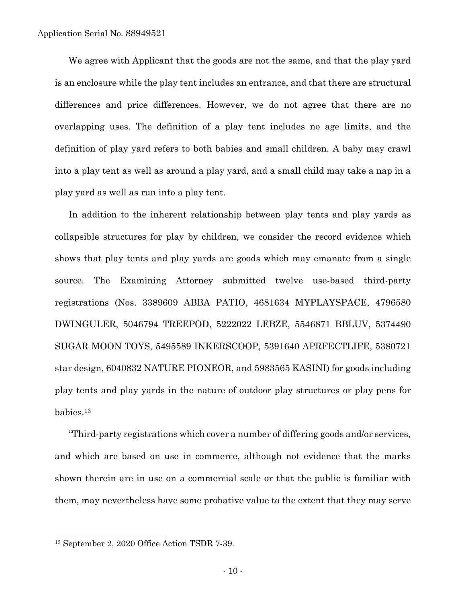We agree with Applicant that the goods are not the same, and that the play yard is an enclosure while the play tent includes an entrance, and that there are structural differences and price differences. However, we do not agree that there are no overlapping uses. The definition of a play tent includes no age limits, and the definition of play yard refers to both babies and small children. A baby may crawl into a play tent as well as around a play yard, and a small child may take a nap in a play yard as well as run into a play tent.

In addition to the inherent relationship between play tents and play yards as collapsible structures for play by children, we consider the record evidence which shows that play tents and play yards are goods which may emanate from a single source. The Examining Attorney submitted twelve use-based third-party registrations (Nos. 3389609 ABBA PATIO, 4681634 MYPLAYSPACE, 4796580 DWINGULER, 5046794 TREEPOD, 5222022 LEBZE, 5546871 BBLUV, 5374490 SUGAR MOON TOYS, 5495589 INKERSCOOP, 5391640 APRFECTLIFE, 5380721 star design, 6040832 NATURE PIONEOR, and 5983565 KASINI) for goods including play tents and play yards in the nature of outdoor play structures or play pens for babies. 13

"Third-party registrations which cover a number of differing goods and/or services, and which are based on use in commerce, although not evidence that the marks shown therein are in use on a commercial scale or that the public is familiar with them, may nevertheless have some probative value to the extent that they may serve

<sup>13</sup> September 2, 2020 Office Action TSDR 7-39.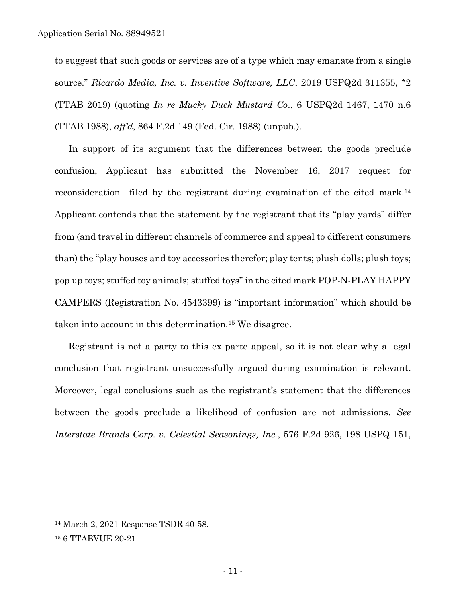to suggest that such goods or services are of a type which may emanate from a single source." *Ricardo Media, Inc. v. Inventive Software, LLC*, 2019 USPQ2d 311355, \*2 (TTAB 2019) (quoting *In re Mucky Duck Mustard Co*., 6 USPQ2d 1467, 1470 n.6 (TTAB 1988), *aff'd*, 864 F.2d 149 (Fed. Cir. 1988) (unpub.).

In support of its argument that the differences between the goods preclude confusion, Applicant has submitted the November 16, 2017 request for reconsideration filed by the registrant during examination of the cited mark. 14 Applicant contends that the statement by the registrant that its "play yards" differ from (and travel in different channels of commerce and appeal to different consumers than) the "play houses and toy accessories therefor; play tents; plush dolls; plush toys; pop up toys; stuffed toy animals; stuffed toys" in the cited mark POP-N-PLAY HAPPY CAMPERS (Registration No. 4543399) is "important information" which should be taken into account in this determination.<sup>15</sup> We disagree.

Registrant is not a party to this ex parte appeal, so it is not clear why a legal conclusion that registrant unsuccessfully argued during examination is relevant. Moreover, legal conclusions such as the registrant's statement that the differences between the goods preclude a likelihood of confusion are not admissions. *See Interstate Brands Corp. v. Celestial Seasonings, Inc.*, 576 F.2d 926, 198 USPQ 151,

 $\overline{a}$ 

<sup>14</sup> March 2, 2021 Response TSDR 40-58.

<sup>15</sup> 6 TTABVUE 20-21.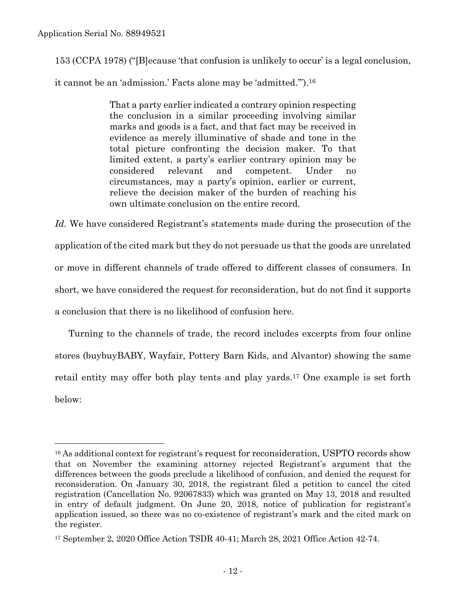$\overline{a}$ 

153 (CCPA 1978) ("[B]ecause 'that confusion is unlikely to occur' is a legal conclusion, it cannot be an 'admission.' Facts alone may be 'admitted.'").<sup>16</sup>

> That a party earlier indicated a contrary opinion respecting the conclusion in a similar proceeding involving similar marks and goods is a fact, and that fact may be received in evidence as merely illuminative of shade and tone in the total picture confronting the decision maker. To that limited extent, a party's earlier contrary opinion may be considered relevant and competent. Under circumstances, may a party's opinion, earlier or current, relieve the decision maker of the burden of reaching his own ultimate conclusion on the entire record.

*Id.* We have considered Registrant's statements made during the prosecution of the application of the cited mark but they do not persuade us that the goods are unrelated or move in different channels of trade offered to different classes of consumers. In short, we have considered the request for reconsideration, but do not find it supports a conclusion that there is no likelihood of confusion here.

Turning to the channels of trade, the record includes excerpts from four online stores (buybuyBABY, Wayfair, Pottery Barn Kids, and Alvantor) showing the same retail entity may offer both play tents and play yards. <sup>17</sup> One example is set forth below:

<sup>&</sup>lt;sup>16</sup> As additional context for registrant's request for reconsideration, USPTO records show that on November the examining attorney rejected Registrant's argument that the differences between the goods preclude a likelihood of confusion, and denied the request for reconsideration. On January 30, 2018, the registrant filed a petition to cancel the cited registration (Cancellation No. 92067833) which was granted on May 13, 2018 and resulted in entry of default judgment. On June 20, 2018, notice of publication for registrant's application issued, so there was no co-existence of registrant's mark and the cited mark on the register.

<sup>17</sup> September 2, 2020 Office Action TSDR 40-41; March 28, 2021 Office Action 42-74.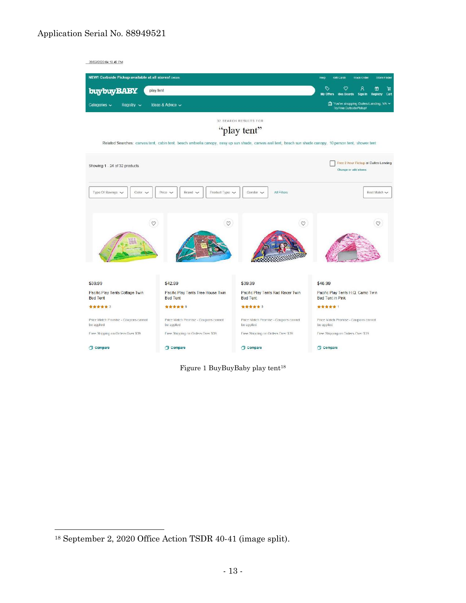#### Application Serial No. 88949521



Figure 1 BuyBuyBaby play tent<sup>18</sup>

<sup>18</sup> September 2, 2020 Office Action TSDR 40-41 (image split).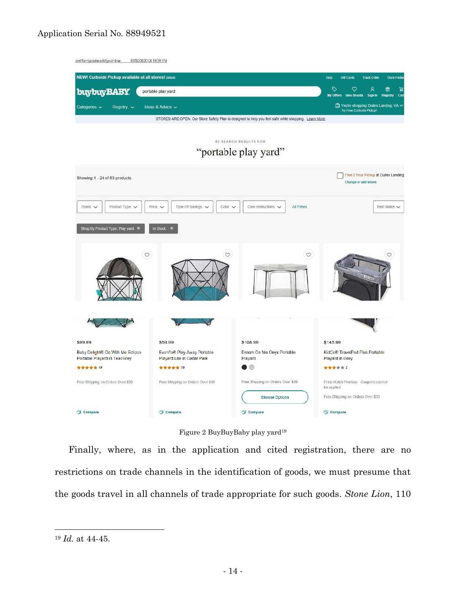### Application Serial No. 88949521



![](_page_13_Figure_2.jpeg)

Finally, where, as in the application and cited registration, there are no restrictions on trade channels in the identification of goods, we must presume that the goods travel in all channels of trade appropriate for such goods. *Stone Lion*, 110

<sup>19</sup> *Id.* at 44-45.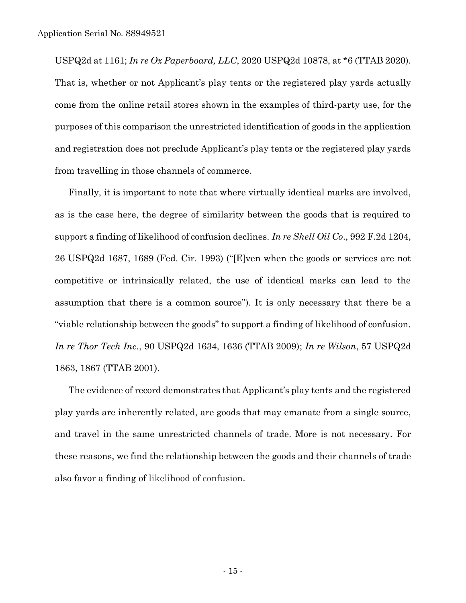USPQ2d at 1161; *In re Ox Paperboard, LLC*, 2020 USPQ2d 10878, at \*6 (TTAB 2020). That is, whether or not Applicant's play tents or the registered play yards actually come from the online retail stores shown in the examples of third-party use, for the purposes of this comparison the unrestricted identification of goods in the application and registration does not preclude Applicant's play tents or the registered play yards from travelling in those channels of commerce.

Finally, it is important to note that where virtually identical marks are involved, as is the case here, the degree of similarity between the goods that is required to support a finding of likelihood of confusion declines. *In re Shell Oil Co*., 992 F.2d 1204, 26 USPQ2d 1687, 1689 (Fed. Cir. 1993) ("[E]ven when the goods or services are not competitive or intrinsically related, the use of identical marks can lead to the assumption that there is a common source"). It is only necessary that there be a "viable relationship between the goods" to support a finding of likelihood of confusion. *In re Thor Tech Inc.*, 90 USPQ2d 1634, 1636 (TTAB 2009); *In re Wilson*, 57 USPQ2d 1863, 1867 (TTAB 2001).

The evidence of record demonstrates that Applicant's play tents and the registered play yards are inherently related, are goods that may emanate from a single source, and travel in the same unrestricted channels of trade. More is not necessary. For these reasons, we find the relationship between the goods and their channels of trade also favor a finding of likelihood of confusion.